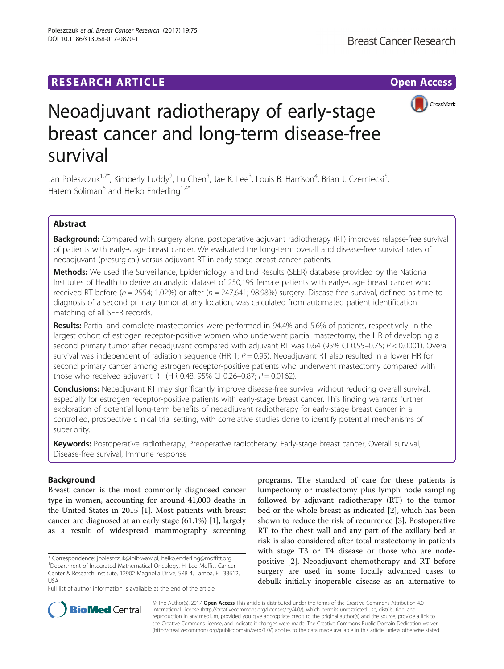DOI 10.1186/s13058-017-0870-1

Poleszczuk et al. Breast Cancer Research (2017) 19:75



# Neoadjuvant radiotherapy of early-stage breast cancer and long-term disease-free survival

Jan Poleszczuk<sup>1,7\*</sup>, Kimberly Luddy<sup>2</sup>, Lu Chen<sup>3</sup>, Jae K. Lee<sup>3</sup>, Louis B. Harrison<sup>4</sup>, Brian J. Czerniecki<sup>5</sup> , Hatem Soliman<sup>6</sup> and Heiko Enderling<sup>1,4\*</sup>

# Abstract

Background: Compared with surgery alone, postoperative adjuvant radiotherapy (RT) improves relapse-free survival of patients with early-stage breast cancer. We evaluated the long-term overall and disease-free survival rates of neoadjuvant (presurgical) versus adjuvant RT in early-stage breast cancer patients.

Methods: We used the Surveillance, Epidemiology, and End Results (SEER) database provided by the National Institutes of Health to derive an analytic dataset of 250,195 female patients with early-stage breast cancer who received RT before ( $n = 2554$ ; 1.02%) or after ( $n = 247,641$ ; 98.98%) surgery. Disease-free survival, defined as time to diagnosis of a second primary tumor at any location, was calculated from automated patient identification matching of all SEER records.

Results: Partial and complete mastectomies were performed in 94.4% and 5.6% of patients, respectively. In the largest cohort of estrogen receptor-positive women who underwent partial mastectomy, the HR of developing a second primary tumor after neoadjuvant compared with adjuvant RT was 0.64 (95% CI 0.55-0.75; P < 0.0001). Overall survival was independent of radiation sequence (HR 1;  $P = 0.95$ ). Neoadjuvant RT also resulted in a lower HR for second primary cancer among estrogen receptor-positive patients who underwent mastectomy compared with those who received adjuvant RT (HR 0.48, 95% CI 0.26–0.87;  $P = 0.0162$ ).

**Conclusions:** Neoadjuvant RT may significantly improve disease-free survival without reducing overall survival, especially for estrogen receptor-positive patients with early-stage breast cancer. This finding warrants further exploration of potential long-term benefits of neoadjuvant radiotherapy for early-stage breast cancer in a controlled, prospective clinical trial setting, with correlative studies done to identify potential mechanisms of superiority.

Keywords: Postoperative radiotherapy, Preoperative radiotherapy, Early-stage breast cancer, Overall survival, Disease-free survival, Immune response

# Background

Breast cancer is the most commonly diagnosed cancer type in women, accounting for around 41,000 deaths in the United States in 2015 [\[1\]](#page-6-0). Most patients with breast cancer are diagnosed at an early stage (61.1%) [[1\]](#page-6-0), largely as a result of widespread mammography screening

\* Correspondence: [jpoleszczuk@ibib.waw.pl](mailto:jpoleszczuk@ibib.waw.pl); [heiko.enderling@moffitt.org](mailto:heiko.enderling@moffitt.org) <sup>1</sup> <sup>1</sup>Department of Integrated Mathematical Oncology, H. Lee Moffitt Cancer Center & Research Institute, 12902 Magnolia Drive, SRB 4, Tampa, FL 33612, USA

Full list of author information is available at the end of the article

programs. The standard of care for these patients is lumpectomy or mastectomy plus lymph node sampling followed by adjuvant radiotherapy (RT) to the tumor bed or the whole breast as indicated [\[2](#page-6-0)], which has been shown to reduce the risk of recurrence [\[3](#page-6-0)]. Postoperative RT to the chest wall and any part of the axillary bed at risk is also considered after total mastectomy in patients with stage T3 or T4 disease or those who are nodepositive [[2](#page-6-0)]. Neoadjuvant chemotherapy and RT before surgery are used in some locally advanced cases to debulk initially inoperable disease as an alternative to



© The Author(s). 2017 **Open Access** This article is distributed under the terms of the Creative Commons Attribution 4.0 International License [\(http://creativecommons.org/licenses/by/4.0/](http://creativecommons.org/licenses/by/4.0/)), which permits unrestricted use, distribution, and reproduction in any medium, provided you give appropriate credit to the original author(s) and the source, provide a link to the Creative Commons license, and indicate if changes were made. The Creative Commons Public Domain Dedication waiver [\(http://creativecommons.org/publicdomain/zero/1.0/](http://creativecommons.org/publicdomain/zero/1.0/)) applies to the data made available in this article, unless otherwise stated.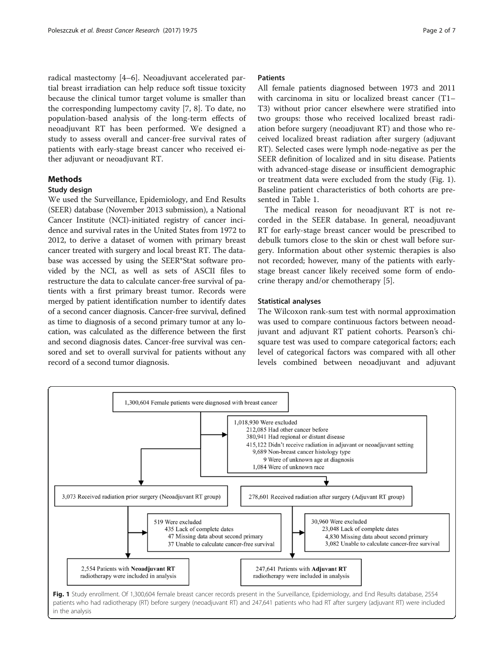radical mastectomy [\[4](#page-6-0)–[6\]](#page-6-0). Neoadjuvant accelerated partial breast irradiation can help reduce soft tissue toxicity because the clinical tumor target volume is smaller than the corresponding lumpectomy cavity [[7, 8\]](#page-6-0). To date, no population-based analysis of the long-term effects of neoadjuvant RT has been performed. We designed a study to assess overall and cancer-free survival rates of patients with early-stage breast cancer who received either adjuvant or neoadjuvant RT.

# Methods

# Study design

We used the Surveillance, Epidemiology, and End Results (SEER) database (November 2013 submission), a National Cancer Institute (NCI)-initiated registry of cancer incidence and survival rates in the United States from 1972 to 2012, to derive a dataset of women with primary breast cancer treated with surgery and local breast RT. The database was accessed by using the SEER\*Stat software provided by the NCI, as well as sets of ASCII files to restructure the data to calculate cancer-free survival of patients with a first primary breast tumor. Records were merged by patient identification number to identify dates of a second cancer diagnosis. Cancer-free survival, defined as time to diagnosis of a second primary tumor at any location, was calculated as the difference between the first and second diagnosis dates. Cancer-free survival was censored and set to overall survival for patients without any record of a second tumor diagnosis.

## Patients

All female patients diagnosed between 1973 and 2011 with carcinoma in situ or localized breast cancer (T1– T3) without prior cancer elsewhere were stratified into two groups: those who received localized breast radiation before surgery (neoadjuvant RT) and those who received localized breast radiation after surgery (adjuvant RT). Selected cases were lymph node-negative as per the SEER definition of localized and in situ disease. Patients with advanced-stage disease or insufficient demographic or treatment data were excluded from the study (Fig. 1). Baseline patient characteristics of both cohorts are presented in Table [1.](#page-2-0)

The medical reason for neoadjuvant RT is not recorded in the SEER database. In general, neoadjuvant RT for early-stage breast cancer would be prescribed to debulk tumors close to the skin or chest wall before surgery. Information about other systemic therapies is also not recorded; however, many of the patients with earlystage breast cancer likely received some form of endocrine therapy and/or chemotherapy [\[5](#page-6-0)].

## Statistical analyses

The Wilcoxon rank-sum test with normal approximation was used to compare continuous factors between neoadjuvant and adjuvant RT patient cohorts. Pearson's chisquare test was used to compare categorical factors; each level of categorical factors was compared with all other levels combined between neoadjuvant and adjuvant

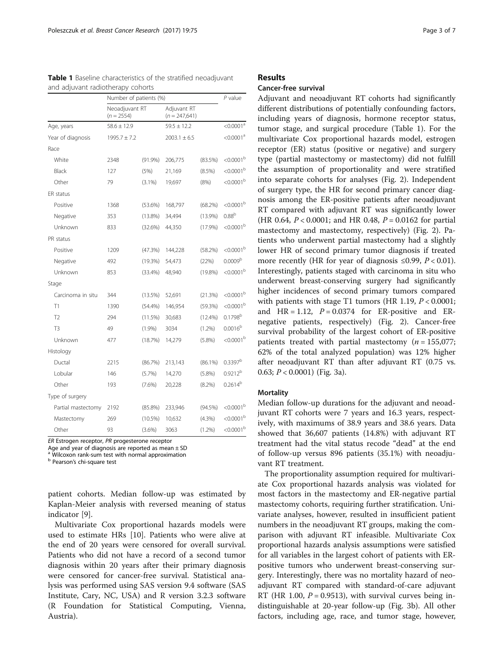|                    | Number of patients (%)         |            |                                |            | $P$ value               |
|--------------------|--------------------------------|------------|--------------------------------|------------|-------------------------|
|                    | Neoadjuvant RT<br>$(n = 2554)$ |            | Adjuvant RT<br>$(n = 247,641)$ |            |                         |
| Age, years         | $58.6 \pm 12.9$                |            | $59.5 \pm 12.2$                |            | $<$ 0.0001 $^{\circ}$   |
| Year of diagnosis  | $1995.7 \pm 7.2$               |            | $2003.1 \pm 6.5$               |            | < 0.0001 <sup>a</sup>   |
| Race               |                                |            |                                |            |                         |
| White              | 2348                           | (91.9%)    | 206,775                        | $(83.5\%)$ | $< 0.0001^{\rm b}$      |
| Black              | 127                            | (5%)       | 21,169                         | $(8.5\%)$  | $< 0.0001^{\mathrm{b}}$ |
| Other              | 79                             | $(3.1\%)$  | 19,697                         | (8%)       | $< 0.0001^{\rm b}$      |
| ER status          |                                |            |                                |            |                         |
| Positive           | 1368                           | $(53.6\%)$ | 168,797                        | (68.2%)    | $< 0.0001^{\rm b}$      |
| Negative           | 353                            | $(13.8\%)$ | 34,494                         | $(13.9\%)$ | 0.88 <sup>b</sup>       |
| Unknown            | 833                            | (32.6%)    | 44,350                         | (17.9%)    | $< 0.0001^{\rm b}$      |
| PR status          |                                |            |                                |            |                         |
| Positive           | 1209                           | (47.3%)    | 144,228                        | $(58.2\%)$ | $< 0.0001^{\rm b}$      |
| Negative           | 492                            | $(19.3\%)$ | 54,473                         | (22%)      | 0.0009 <sup>b</sup>     |
| Unknown            | 853                            | (33.4%)    | 48.940                         | $(19.8\%)$ | $< 0.0001^{\rm b}$      |
| Stage              |                                |            |                                |            |                         |
| Carcinoma in situ  | 344                            | $(13.5\%)$ | 52,691                         | (21.3%)    | $< 0.0001^{\rm b}$      |
| T1                 | 1390                           | (54.4%)    | 146,954                        | (59.3%)    | $< 0.0001^{\rm b}$      |
| T <sub>2</sub>     | 294                            | (11.5%)    | 30,683                         | $(12.4\%)$ | 0.1798 <sup>b</sup>     |
| T3                 | 49                             | (1.9%)     | 3034                           | $(1.2\%)$  | $0.0016^{b}$            |
| Unknown            | 477                            | (18.7%)    | 14,279                         | $(5.8\%)$  | $< 0.0001^{\rm b}$      |
| Histology          |                                |            |                                |            |                         |
| Ductal             | 2215                           | (86.7%)    | 213,143                        | $(86.1\%)$ | $0.3397^b$              |
| Lobular            | 146                            | (5.7%)     | 14,270                         | $(5.8\%)$  | $0.9212^{b}$            |
| Other              | 193                            | (7.6%)     | 20,228                         | $(8.2\%)$  | $0.2614^{b}$            |
| Type of surgery    |                                |            |                                |            |                         |
| Partial mastectomy | 2192                           | $(85.8\%)$ | 233,946                        | $(94.5\%)$ | < 0.0001 <sup>b</sup>   |
| Mastectomy         | 269                            | $(10.5\%)$ | 10,632                         | (4.3%)     | $< 0.0001^{\rm b}$      |
| Other              | 93                             | (3.6%)     | 3063                           | (1.2%)     | < 0.0001 <sup>b</sup>   |

<span id="page-2-0"></span>Table 1 Baseline characteristics of the stratified neoadjuvant and adjuvant radiotherapy cohorts

ER Estrogen receptor, PR progesterone receptor

Age and year of diagnosis are reported as mean  $\pm$  SD

Wilcoxon rank-sum test with normal approximation

<sup>b</sup> Pearson's chi-square test

patient cohorts. Median follow-up was estimated by Kaplan-Meier analysis with reversed meaning of status indicator [\[9](#page-6-0)].

Multivariate Cox proportional hazards models were used to estimate HRs [\[10\]](#page-6-0). Patients who were alive at the end of 20 years were censored for overall survival. Patients who did not have a record of a second tumor diagnosis within 20 years after their primary diagnosis were censored for cancer-free survival. Statistical analysis was performed using SAS version 9.4 software (SAS Institute, Cary, NC, USA) and R version 3.2.3 software (R Foundation for Statistical Computing, Vienna, Austria).

# Results

# Cancer-free survival

Adjuvant and neoadjuvant RT cohorts had significantly different distributions of potentially confounding factors, including years of diagnosis, hormone receptor status, tumor stage, and surgical procedure (Table 1). For the multivariate Cox proportional hazards model, estrogen receptor (ER) status (positive or negative) and surgery type (partial mastectomy or mastectomy) did not fulfill the assumption of proportionality and were stratified into separate cohorts for analyses (Fig. [2\)](#page-3-0). Independent of surgery type, the HR for second primary cancer diagnosis among the ER-positive patients after neoadjuvant RT compared with adjuvant RT was significantly lower (HR 0.64,  $P < 0.0001$ ; and HR 0.48,  $P = 0.0162$  for partial mastectomy and mastectomy, respectively) (Fig. [2](#page-3-0)). Patients who underwent partial mastectomy had a slightly lower HR of second primary tumor diagnosis if treated more recently (HR for year of diagnosis  $\leq 0.99$ ,  $P < 0.01$ ). Interestingly, patients staged with carcinoma in situ who underwent breast-conserving surgery had significantly higher incidences of second primary tumors compared with patients with stage T1 tumors (HR 1.19,  $P < 0.0001$ ; and  $HR = 1.12$ ,  $P = 0.0374$  for ER-positive and ERnegative patients, respectively) (Fig. [2\)](#page-3-0). Cancer-free survival probability of the largest cohort of ER-positive patients treated with partial mastectomy  $(n = 155,077)$ ; 62% of the total analyzed population) was 12% higher after neoadjuvant RT than after adjuvant RT (0.75 vs. 0.63;  $P < 0.0001$ ) (Fig. [3a](#page-4-0)).

# **Mortality**

Median follow-up durations for the adjuvant and neoadjuvant RT cohorts were 7 years and 16.3 years, respectively, with maximums of 38.9 years and 38.6 years. Data showed that 36,607 patients (14.8%) with adjuvant RT treatment had the vital status recode "dead" at the end of follow-up versus 896 patients (35.1%) with neoadjuvant RT treatment.

The proportionality assumption required for multivariate Cox proportional hazards analysis was violated for most factors in the mastectomy and ER-negative partial mastectomy cohorts, requiring further stratification. Univariate analyses, however, resulted in insufficient patient numbers in the neoadjuvant RT groups, making the comparison with adjuvant RT infeasible. Multivariate Cox proportional hazards analysis assumptions were satisfied for all variables in the largest cohort of patients with ERpositive tumors who underwent breast-conserving surgery. Interestingly, there was no mortality hazard of neoadjuvant RT compared with standard-of-care adjuvant RT (HR 1.00,  $P = 0.9513$ ), with survival curves being indistinguishable at 20-year follow-up (Fig. [3b](#page-4-0)). All other factors, including age, race, and tumor stage, however,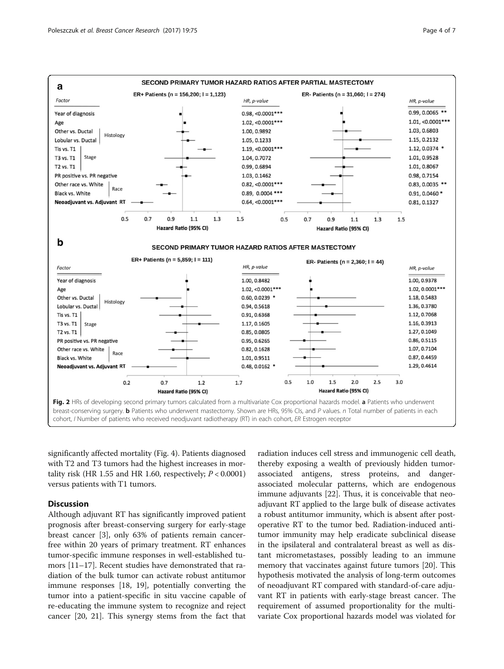<span id="page-3-0"></span>

significantly affected mortality (Fig. [4](#page-4-0)). Patients diagnosed with T2 and T3 tumors had the highest increases in mortality risk (HR 1.55 and HR 1.60, respectively;  $P < 0.0001$ ) versus patients with T1 tumors.

# **Discussion**

Although adjuvant RT has significantly improved patient prognosis after breast-conserving surgery for early-stage breast cancer [\[3](#page-6-0)], only 63% of patients remain cancerfree within 20 years of primary treatment. RT enhances tumor-specific immune responses in well-established tumors [[11](#page-6-0)–[17](#page-6-0)]. Recent studies have demonstrated that radiation of the bulk tumor can activate robust antitumor immune responses [[18, 19\]](#page-6-0), potentially converting the tumor into a patient-specific in situ vaccine capable of re-educating the immune system to recognize and reject cancer [\[20, 21](#page-6-0)]. This synergy stems from the fact that radiation induces cell stress and immunogenic cell death, thereby exposing a wealth of previously hidden tumorassociated antigens, stress proteins, and dangerassociated molecular patterns, which are endogenous immune adjuvants [\[22\]](#page-6-0). Thus, it is conceivable that neoadjuvant RT applied to the large bulk of disease activates a robust antitumor immunity, which is absent after postoperative RT to the tumor bed. Radiation-induced antitumor immunity may help eradicate subclinical disease in the ipsilateral and contralateral breast as well as distant micrometastases, possibly leading to an immune memory that vaccinates against future tumors [[20\]](#page-6-0). This hypothesis motivated the analysis of long-term outcomes of neoadjuvant RT compared with standard-of-care adjuvant RT in patients with early-stage breast cancer. The requirement of assumed proportionality for the multivariate Cox proportional hazards model was violated for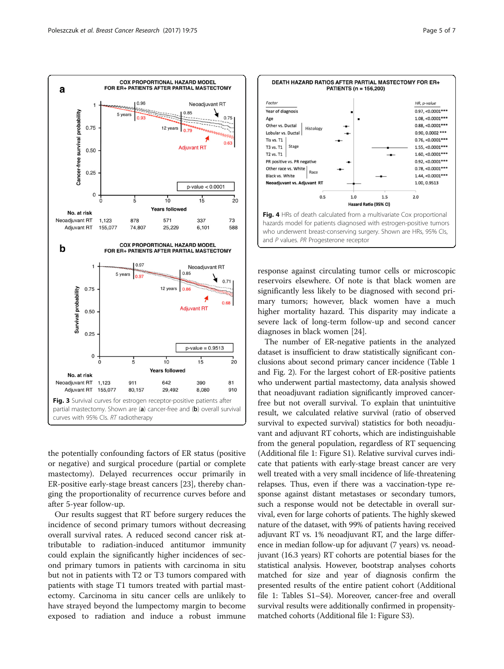<span id="page-4-0"></span>

the potentially confounding factors of ER status (positive or negative) and surgical procedure (partial or complete mastectomy). Delayed recurrences occur primarily in ER-positive early-stage breast cancers [\[23\]](#page-6-0), thereby changing the proportionality of recurrence curves before and after 5-year follow-up.

Our results suggest that RT before surgery reduces the incidence of second primary tumors without decreasing overall survival rates. A reduced second cancer risk attributable to radiation-induced antitumor immunity could explain the significantly higher incidences of second primary tumors in patients with carcinoma in situ but not in patients with T2 or T3 tumors compared with patients with stage T1 tumors treated with partial mastectomy. Carcinoma in situ cancer cells are unlikely to have strayed beyond the lumpectomy margin to become exposed to radiation and induce a robust immune



response against circulating tumor cells or microscopic reservoirs elsewhere. Of note is that black women are significantly less likely to be diagnosed with second primary tumors; however, black women have a much higher mortality hazard. This disparity may indicate a severe lack of long-term follow-up and second cancer diagnoses in black women [\[24](#page-6-0)].

The number of ER-negative patients in the analyzed dataset is insufficient to draw statistically significant conclusions about second primary cancer incidence (Table [1](#page-2-0) and Fig. [2\)](#page-3-0). For the largest cohort of ER-positive patients who underwent partial mastectomy, data analysis showed that neoadjuvant radiation significantly improved cancerfree but not overall survival. To explain that unintuitive result, we calculated relative survival (ratio of observed survival to expected survival) statistics for both neoadjuvant and adjuvant RT cohorts, which are indistinguishable from the general population, regardless of RT sequencing (Additional file [1:](#page-5-0) Figure S1). Relative survival curves indicate that patients with early-stage breast cancer are very well treated with a very small incidence of life-threatening relapses. Thus, even if there was a vaccination-type response against distant metastases or secondary tumors, such a response would not be detectable in overall survival, even for large cohorts of patients. The highly skewed nature of the dataset, with 99% of patients having received adjuvant RT vs. 1% neoadjuvant RT, and the large difference in median follow-up for adjuvant (7 years) vs. neoadjuvant (16.3 years) RT cohorts are potential biases for the statistical analysis. However, bootstrap analyses cohorts matched for size and year of diagnosis confirm the presented results of the entire patient cohort (Additional file [1](#page-5-0): Tables S1–S4). Moreover, cancer-free and overall survival results were additionally confirmed in propensitymatched cohorts (Additional file [1](#page-5-0): Figure S3).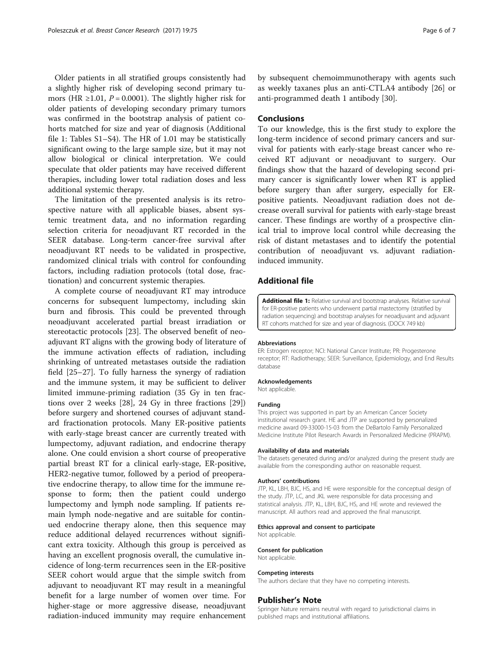<span id="page-5-0"></span>Older patients in all stratified groups consistently had a slightly higher risk of developing second primary tumors (HR  $\geq$ 1.01, P = 0.0001). The slightly higher risk for older patients of developing secondary primary tumors was confirmed in the bootstrap analysis of patient cohorts matched for size and year of diagnosis (Additional file 1: Tables S1–S4). The HR of 1.01 may be statistically significant owing to the large sample size, but it may not allow biological or clinical interpretation. We could speculate that older patients may have received different therapies, including lower total radiation doses and less additional systemic therapy.

The limitation of the presented analysis is its retrospective nature with all applicable biases, absent systemic treatment data, and no information regarding selection criteria for neoadjuvant RT recorded in the SEER database. Long-term cancer-free survival after neoadjuvant RT needs to be validated in prospective, randomized clinical trials with control for confounding factors, including radiation protocols (total dose, fractionation) and concurrent systemic therapies.

A complete course of neoadjuvant RT may introduce concerns for subsequent lumpectomy, including skin burn and fibrosis. This could be prevented through neoadjuvant accelerated partial breast irradiation or stereotactic protocols [\[23](#page-6-0)]. The observed benefit of neoadjuvant RT aligns with the growing body of literature of the immune activation effects of radiation, including shrinking of untreated metastases outside the radiation field [[25](#page-6-0)–[27](#page-6-0)]. To fully harness the synergy of radiation and the immune system, it may be sufficient to deliver limited immune-priming radiation (35 Gy in ten fractions over 2 weeks [\[28](#page-6-0)], 24 Gy in three fractions [\[29](#page-6-0)]) before surgery and shortened courses of adjuvant standard fractionation protocols. Many ER-positive patients with early-stage breast cancer are currently treated with lumpectomy, adjuvant radiation, and endocrine therapy alone. One could envision a short course of preoperative partial breast RT for a clinical early-stage, ER-positive, HER2-negative tumor, followed by a period of preoperative endocrine therapy, to allow time for the immune response to form; then the patient could undergo lumpectomy and lymph node sampling. If patients remain lymph node-negative and are suitable for continued endocrine therapy alone, then this sequence may reduce additional delayed recurrences without significant extra toxicity. Although this group is perceived as having an excellent prognosis overall, the cumulative incidence of long-term recurrences seen in the ER-positive SEER cohort would argue that the simple switch from adjuvant to neoadjuvant RT may result in a meaningful benefit for a large number of women over time. For higher-stage or more aggressive disease, neoadjuvant radiation-induced immunity may require enhancement

by subsequent chemoimmunotherapy with agents such as weekly taxanes plus an anti-CTLA4 antibody [\[26\]](#page-6-0) or anti-programmed death 1 antibody [\[30](#page-6-0)].

# Conclusions

To our knowledge, this is the first study to explore the long-term incidence of second primary cancers and survival for patients with early-stage breast cancer who received RT adjuvant or neoadjuvant to surgery. Our findings show that the hazard of developing second primary cancer is significantly lower when RT is applied before surgery than after surgery, especially for ERpositive patients. Neoadjuvant radiation does not decrease overall survival for patients with early-stage breast cancer. These findings are worthy of a prospective clinical trial to improve local control while decreasing the risk of distant metastases and to identify the potential contribution of neoadjuvant vs. adjuvant radiationinduced immunity.

## Additional file

[Additional file 1:](dx.doi.org/10.1186/s13058-017-0870-1) Relative survival and bootstrap analyses. Relative survival for ER-positive patients who underwent partial mastectomy (stratified by radiation sequencing) and bootstrap analyses for neoadjuvant and adjuvant RT cohorts matched for size and year of diagnosis. (DOCX 749 kb)

#### Abbreviations

ER: Estrogen receptor; NCI: National Cancer Institute; PR: Progesterone receptor; RT: Radiotherapy; SEER: Surveillance, Epidemiology, and End Results database

#### Acknowledgements

Not applicable.

#### Funding

This project was supported in part by an American Cancer Society institutional research grant. HE and JTP are supported by personalized medicine award 09-33000-15-03 from the DeBartolo Family Personalized Medicine Institute Pilot Research Awards in Personalized Medicine (PRAPM).

#### Availability of data and materials

The datasets generated during and/or analyzed during the present study are available from the corresponding author on reasonable request.

#### Authors' contributions

JTP, KL, LBH, BJC, HS, and HE were responsible for the conceptual design of the study. JTP, LC, and JKL were responsible for data processing and statistical analysis. JTP, KL, LBH, BJC, HS, and HE wrote and reviewed the manuscript. All authors read and approved the final manuscript.

#### Ethics approval and consent to participate

Not applicable.

Consent for publication Not applicable.

# Competing interests

The authors declare that they have no competing interests.

#### Publisher's Note

Springer Nature remains neutral with regard to jurisdictional claims in published maps and institutional affiliations.